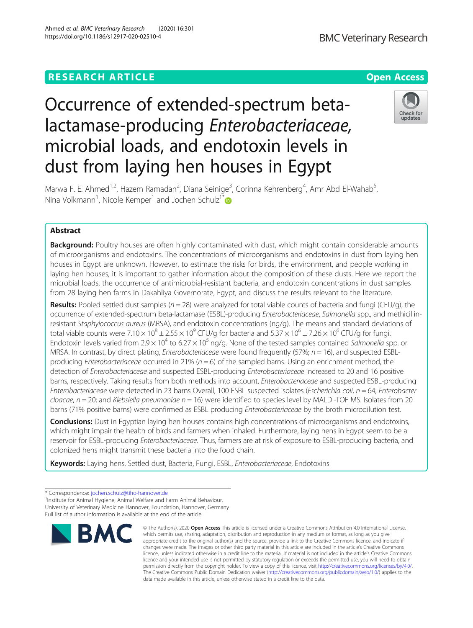# **RESEARCH ARTICLE Example 2014 12:30 The Contract of Contract ACCESS**

# Occurrence of extended-spectrum betalactamase-producing Enterobacteriaceae, microbial loads, and endotoxin levels in dust from laying hen houses in Egypt



Marwa F. E. Ahmed<sup>1,2</sup>, Hazem Ramadan<sup>2</sup>, Diana Seinige<sup>3</sup>, Corinna Kehrenberg<sup>4</sup>, Amr Abd El-Wahab<sup>5</sup> , Nina Volkmann<sup>1</sup>, Nicole Kemper<sup>1</sup> and Jochen Schulz<sup>1\*</sup>

# Abstract

**Background:** Poultry houses are often highly contaminated with dust, which might contain considerable amounts of microorganisms and endotoxins. The concentrations of microorganisms and endotoxins in dust from laying hen houses in Egypt are unknown. However, to estimate the risks for birds, the environment, and people working in laying hen houses, it is important to gather information about the composition of these dusts. Here we report the microbial loads, the occurrence of antimicrobial-resistant bacteria, and endotoxin concentrations in dust samples from 28 laying hen farms in Dakahliya Governorate, Egypt, and discuss the results relevant to the literature.

**Results:** Pooled settled dust samples ( $n = 28$ ) were analyzed for total viable counts of bacteria and fungi (CFU/g), the occurrence of extended-spectrum beta-lactamase (ESBL)-producing Enterobacteriaceae, Salmonella spp., and methicillinresistant Staphylococcus aureus (MRSA), and endotoxin concentrations (ng/g). The means and standard deviations of total viable counts were 7.10  $\times$  10<sup>8</sup>  $\pm$  2.55  $\times$  10<sup>9</sup> CFU/g for bacteria and 5.37  $\times$  10<sup>6</sup>  $\pm$  7.26  $\times$  10<sup>6</sup> CFU/g for fungi. Endotoxin levels varied from 2.9  $\times$  10<sup>4</sup> to 6.27  $\times$  10<sup>5</sup> ng/g. None of the tested samples contained Salmonella spp. or MRSA. In contrast, by direct plating, *Enterobacteriaceae* were found frequently (57%;  $n = 16$ ), and suspected ESBLproducing Enterobacteriaceae occurred in 21% ( $n = 6$ ) of the sampled barns. Using an enrichment method, the detection of Enterobacteriaceae and suspected ESBL-producing Enterobacteriaceae increased to 20 and 16 positive barns, respectively. Taking results from both methods into account, Enterobacteriaceae and suspected ESBL-producing Enterobacteriaceae were detected in 23 barns Overall, 100 ESBL suspected isolates (Escherichia coli, n = 64; Enterobacter cloacae,  $n = 20$ ; and Klebsiella pneumoniae  $n = 16$ ) were identified to species level by MALDI-TOF MS. Isolates from 20 barns (71% positive barns) were confirmed as ESBL producing Enterobacteriaceae by the broth microdilution test.

Conclusions: Dust in Egyptian laying hen houses contains high concentrations of microorganisms and endotoxins, which might impair the health of birds and farmers when inhaled. Furthermore, laying hens in Egypt seem to be a reservoir for ESBL-producing *Enterobacteriaceae*. Thus, farmers are at risk of exposure to ESBL-producing bacteria, and colonized hens might transmit these bacteria into the food chain.

Keywords: Laying hens, Settled dust, Bacteria, Fungi, ESBL, Enterobacteriaceae, Endotoxins

<sup>1</sup> Institute for Animal Hygiene, Animal Welfare and Farm Animal Behaviour, University of Veterinary Medicine Hannover, Foundation, Hannover, Germany Full list of author information is available at the end of the article



<sup>©</sup> The Author(s), 2020 **Open Access** This article is licensed under a Creative Commons Attribution 4.0 International License, which permits use, sharing, adaptation, distribution and reproduction in any medium or format, as long as you give appropriate credit to the original author(s) and the source, provide a link to the Creative Commons licence, and indicate if changes were made. The images or other third party material in this article are included in the article's Creative Commons licence, unless indicated otherwise in a credit line to the material. If material is not included in the article's Creative Commons licence and your intended use is not permitted by statutory regulation or exceeds the permitted use, you will need to obtain permission directly from the copyright holder. To view a copy of this licence, visit [http://creativecommons.org/licenses/by/4.0/.](http://creativecommons.org/licenses/by/4.0/) The Creative Commons Public Domain Dedication waiver [\(http://creativecommons.org/publicdomain/zero/1.0/](http://creativecommons.org/publicdomain/zero/1.0/)) applies to the data made available in this article, unless otherwise stated in a credit line to the data.

<sup>\*</sup> Correspondence: [jochen.schulz@tiho-hannover.de](mailto:jochen.schulz@tiho-hannover.de) <sup>1</sup>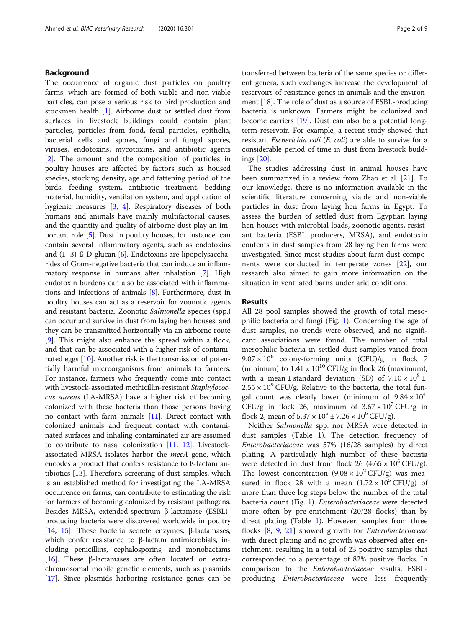# Background

The occurrence of organic dust particles on poultry farms, which are formed of both viable and non-viable particles, can pose a serious risk to bird production and stockmen health [[1](#page-7-0)]. Airborne dust or settled dust from surfaces in livestock buildings could contain plant particles, particles from food, fecal particles, epithelia, bacterial cells and spores, fungi and fungal spores, viruses, endotoxins, mycotoxins, and antibiotic agents [[2\]](#page-7-0). The amount and the composition of particles in poultry houses are affected by factors such as housed species, stocking density, age and fattening period of the birds, feeding system, antibiotic treatment, bedding material, humidity, ventilation system, and application of hygienic measures [[3,](#page-7-0) [4](#page-7-0)]. Respiratory diseases of both humans and animals have mainly multifactorial causes, and the quantity and quality of airborne dust play an important role [[5](#page-7-0)]. Dust in poultry houses, for instance, can contain several inflammatory agents, such as endotoxins and  $(1-3)$ -ß-D-glucan [[6\]](#page-7-0). Endotoxins are lipopolysaccharides of Gram-negative bacteria that can induce an inflammatory response in humans after inhalation [\[7\]](#page-7-0). High endotoxin burdens can also be associated with inflammations and infections of animals [[8\]](#page-7-0). Furthermore, dust in poultry houses can act as a reservoir for zoonotic agents and resistant bacteria. Zoonotic Salmonella species (spp.) can occur and survive in dust from laying hen houses, and they can be transmitted horizontally via an airborne route [[9\]](#page-7-0). This might also enhance the spread within a flock, and that can be associated with a higher risk of contaminated eggs [[10](#page-7-0)]. Another risk is the transmission of potentially harmful microorganisms from animals to farmers. For instance, farmers who frequently come into contact with livestock-associated methicillin-resistant Staphylococcus aureus (LA-MRSA) have a higher risk of becoming colonized with these bacteria than those persons having no contact with farm animals [[11\]](#page-7-0). Direct contact with colonized animals and frequent contact with contaminated surfaces and inhaling contaminated air are assumed to contribute to nasal colonization [[11](#page-7-0), [12](#page-8-0)]. Livestockassociated MRSA isolates harbor the *mecA* gene, which encodes a product that confers resistance to ß-lactam antibiotics [[13](#page-8-0)]. Therefore, screening of dust samples, which is an established method for investigating the LA-MRSA occurrence on farms, can contribute to estimating the risk for farmers of becoming colonized by resistant pathogens. Besides MRSA, extended-spectrum β-lactamase (ESBL) producing bacteria were discovered worldwide in poultry [[14](#page-8-0), [15](#page-8-0)]. These bacteria secrete enzymes, β-lactamases, which confer resistance to β-lactam antimicrobials, including penicillins, cephalosporins, and monobactams [[16](#page-8-0)]. These β-lactamases are often located on extrachromosomal mobile genetic elements, such as plasmids [[17](#page-8-0)]. Since plasmids harboring resistance genes can be transferred between bacteria of the same species or different genera, such exchanges increase the development of reservoirs of resistance genes in animals and the environment [\[18\]](#page-8-0). The role of dust as a source of ESBL-producing bacteria is unknown. Farmers might be colonized and become carriers [[19\]](#page-8-0). Dust can also be a potential longterm reservoir. For example, a recent study showed that resistant Escherichia coli (E. coli) are able to survive for a considerable period of time in dust from livestock buildings [[20](#page-8-0)].

The studies addressing dust in animal houses have been summarized in a review from Zhao et al. [[21\]](#page-8-0). To our knowledge, there is no information available in the scientific literature concerning viable and non-viable particles in dust from laying hen farms in Egypt. To assess the burden of settled dust from Egyptian laying hen houses with microbial loads, zoonotic agents, resistant bacteria (ESBL producers, MRSA), and endotoxin contents in dust samples from 28 laying hen farms were investigated. Since most studies about farm dust components were conducted in temperate zones [[22\]](#page-8-0), our research also aimed to gain more information on the situation in ventilated barns under arid conditions.

# Results

All 28 pool samples showed the growth of total mesophilic bacteria and fungi (Fig. [1](#page-2-0)). Concerning the age of dust samples, no trends were observed, and no significant associations were found. The number of total mesophilic bacteria in settled dust samples varied from  $9.07 \times 10^6$  colony-forming units (CFU)/g in flock 7 (minimum) to  $1.41 \times 10^{10}$  CFU/g in flock 26 (maximum), with a mean  $\pm$  standard deviation (SD) of  $7.10 \times 10^8 \pm$  $2.55 \times 10^{9}$  CFU/g. Relative to the bacteria, the total fungal count was clearly lower (minimum of  $9.84 \times 10^4$ ) CFU/g in flock 26, maximum of  $3.67 \times 10^7$  CFU/g in flock 2, mean of  $5.37 \times 10^6 \pm 7.26 \times 10^6$  CFU/g).

Neither Salmonella spp. nor MRSA were detected in dust samples (Table [1](#page-2-0)). The detection frequency of Enterobacteriaceae was 57% (16/28 samples) by direct plating. A particularly high number of these bacteria were detected in dust from flock 26 (4.65  $\times$  10<sup>6</sup> CFU/g). The lowest concentration  $(9.08 \times 10^2 \text{ CFU/g})$  was measured in flock 28 with a mean  $(1.72 \times 10^5 \text{ CFU/g})$  of more than three log steps below the number of the total bacteria count (Fig. [1\)](#page-2-0). *Enterobacteriaceae* were detected more often by pre-enrichment (20/28 flocks) than by direct plating (Table [1\)](#page-2-0). However, samples from three flocks [\[8](#page-7-0), [9,](#page-7-0) [21](#page-8-0)] showed growth for Enterobacteriaceae with direct plating and no growth was observed after enrichment, resulting in a total of 23 positive samples that corresponded to a percentage of 82% positive flocks. In comparison to the Enterobacteriaceae results, ESBLproducing Enterobacteriaceae were less frequently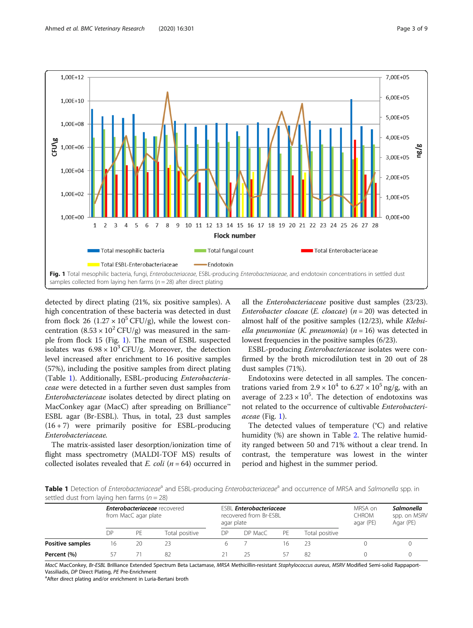<span id="page-2-0"></span>

detected by direct plating (21%, six positive samples). A high concentration of these bacteria was detected in dust from flock 26 (1.27  $\times$  10<sup>5</sup> CFU/g), while the lowest concentration  $(8.53 \times 10^2 \text{ CFU/g})$  was measured in the sample from flock 15 (Fig. 1). The mean of ESBL suspected isolates was  $6.98 \times 10^3$  CFU/g. Moreover, the detection level increased after enrichment to 16 positive samples (57%), including the positive samples from direct plating (Table 1). Additionally, ESBL-producing Enterobacteriaceae were detected in a further seven dust samples from Enterobacteriaceae isolates detected by direct plating on MacConkey agar (MacC) after spreading on Brilliance™ ESBL agar (Br-ESBL). Thus, in total, 23 dust samples  $(16 + 7)$  were primarily positive for ESBL-producing Enterobacteriaceae.

The matrix-assisted laser desorption/ionization time of flight mass spectrometry (MALDI-TOF MS) results of collected isolates revealed that  $E.$  coli ( $n = 64$ ) occurred in

all the Enterobacteriaceae positive dust samples (23/23). Enterobacter cloacae (E. cloacae) ( $n = 20$ ) was detected in almost half of the positive samples (12/23), while Klebsiella pneumoniae (K. pneumonia) ( $n = 16$ ) was detected in lowest frequencies in the positive samples (6/23).

ESBL-producing Enterobacteriaceae isolates were confirmed by the broth microdilution test in 20 out of 28 dust samples (71%).

Endotoxins were detected in all samples. The concentrations varied from  $2.9 \times 10^4$  to  $6.27 \times 10^5$  ng/g, with an average of  $2.23 \times 10^5$ . The detection of endotoxins was not related to the occurrence of cultivable Enterobacteriaceae (Fig. 1).

The detected values of temperature (°C) and relative humidity (%) are shown in Table [2](#page-3-0). The relative humidity ranged between 50 and 71% without a clear trend. In contrast, the temperature was lowest in the winter period and highest in the summer period.

Table 1 Detection of Enterobacteriaceae<sup>a</sup> and ESBL-producing Enterobacteriaceae<sup>a</sup> and occurrence of MRSA and Salmonella spp. in settled dust from laying hen farms ( $n = 28$ )

|                  | <b>Enterobacteriaceae</b> recovered<br>from MacC agar plate |    |                | <b>ESBL Enterobacteriaceae</b><br>recovered from Br-ESBL<br>agar plate |         |    |                | MRSA on<br><b>CHROM</b><br>agar (PE) | Salmonella<br>spp. on MSRV<br>Agar (PE) |
|------------------|-------------------------------------------------------------|----|----------------|------------------------------------------------------------------------|---------|----|----------------|--------------------------------------|-----------------------------------------|
|                  | DΡ                                                          | PF | Total positive | DΡ                                                                     | DP MacC | PF | Total positive |                                      |                                         |
| Positive samples | 16                                                          | 20 | 23             |                                                                        |         |    |                |                                      |                                         |
| Percent (%)      |                                                             |    | 82             |                                                                        |         |    | 82             |                                      |                                         |

MacC MacConkey, Br-ESBL Brilliance Extended Spectrum Beta Lactamase, MRSA Methicillin-resistant Staphylococcus aureus, MSRV Modified Semi-solid Rappaport-Vassiliadis, DP Direct Plating, PE Pre-Enrichment

aAfter direct plating and/or enrichment in Luria-Bertani broth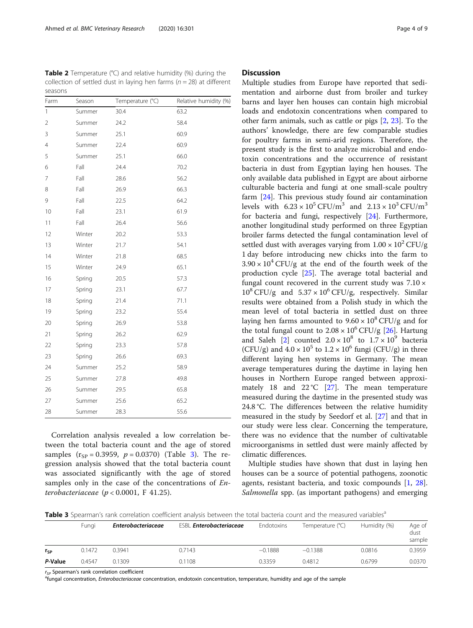Correlation analysis revealed a low correlation between the total bacteria count and the age of stored samples  $(r_{SP} = 0.3959, p = 0.0370)$  (Table 3). The regression analysis showed that the total bacteria count was associated significantly with the age of stored samples only in the case of the concentrations of Enterobacteriaceae ( $p < 0.0001$ , F 41.25).

mentation and airborne dust from broiler and turkey barns and layer hen houses can contain high microbial loads and endotoxin concentrations when compared to other farm animals, such as cattle or pigs [\[2](#page-7-0), [23](#page-8-0)]. To the authors' knowledge, there are few comparable studies for poultry farms in semi-arid regions. Therefore, the present study is the first to analyze microbial and endotoxin concentrations and the occurrence of resistant bacteria in dust from Egyptian laying hen houses. The only available data published in Egypt are about airborne culturable bacteria and fungi at one small-scale poultry farm [\[24\]](#page-8-0). This previous study found air contamination levels with  $6.23 \times 10^5$  CFU/m<sup>3</sup> and  $2.13 \times 10^3$  CFU/m<sup>3</sup> for bacteria and fungi, respectively [[24\]](#page-8-0). Furthermore, another longitudinal study performed on three Egyptian broiler farms detected the fungal contamination level of settled dust with averages varying from  $1.00 \times 10^2$  CFU/g 1 day before introducing new chicks into the farm to  $3.90 \times 10^4$  CFU/g at the end of the fourth week of the production cycle [\[25](#page-8-0)]. The average total bacterial and fungal count recovered in the current study was  $7.10 \times$  $10^8$  CFU/g and  $5.37 \times 10^6$  CFU/g, respectively. Similar results were obtained from a Polish study in which the mean level of total bacteria in settled dust on three laying hen farms amounted to  $9.60 \times 10^8$  CFU/g and for the total fungal count to  $2.08 \times 10^6$  CFU/g [[26\]](#page-8-0). Hartung and Saleh [[2\]](#page-7-0) counted  $2.0 \times 10^8$  to  $1.7 \times 10^9$  bacteria (CFU/g) and  $4.0 \times 10^5$  to  $1.2 \times 10^6$  fungi (CFU/g) in three different laying hen systems in Germany. The mean average temperatures during the daytime in laying hen houses in Northern Europe ranged between approxi-mately 18 and 22 °C [[27\]](#page-8-0). The mean temperature measured during the daytime in the presented study was 24.8 °C. The differences between the relative humidity measured in the study by Seedorf et al. [[27\]](#page-8-0) and that in our study were less clear. Concerning the temperature, there was no evidence that the number of cultivatable microorganisms in settled dust were mainly affected by climatic differences.

Multiple studies from Europe have reported that sedi-

Multiple studies have shown that dust in laying hen houses can be a source of potential pathogens, zoonotic agents, resistant bacteria, and toxic compounds [\[1](#page-7-0), [28](#page-8-0)]. Salmonella spp. (as important pathogens) and emerging

Table 3 Spearman's rank correlation coefficient analysis between the total bacteria count and the measured variables<sup>a</sup>

|          | Fungi  | <b>Enterobacteriaceae</b> | <b>ESBL Enterobacteriaceae</b> | Endotoxins | Temperature (°C) | Humidity (%) | Age of<br>dust<br>sample |
|----------|--------|---------------------------|--------------------------------|------------|------------------|--------------|--------------------------|
| $r_{SP}$ | 0.1472 | 0.3941                    | 0.7143                         | $-0.1888$  | $-0.1388$        | 0.0816       | 0.3959                   |
| P-Value  | 0.4547 | 0.1309                    | 0.1108                         | 0.3359     | 0.4812           | 0.6799       | 0.0370                   |

rce Spearman's rank correlation coefficient

<sup>a</sup>fungal concentration, Enterobacteriaceae concentration, endotoxin concentration, temperature, humidity and age of the sample

<span id="page-3-0"></span>**Table 2** Temperature (°C) and relative humidity (%) during the collection of settled dust in laying hen farms ( $n = 28$ ) at different seasons

| Farm           | Season | Temperature (°C) | Relative humidity (%) |
|----------------|--------|------------------|-----------------------|
| 1              | Summer | 30.4             | 63.2                  |
| $\overline{2}$ | Summer | 24.2             | 58.4                  |
| 3              | Summer | 25.1             | 60.9                  |
| 4              | Summer | 22.4             | 60.9                  |
| 5              | Summer | 25.1             | 66.0                  |
| 6              | Fall   | 24.4             | 70.2                  |
| 7              | Fall   | 28.6             | 56.2                  |
| 8              | Fall   | 26.9             | 66.3                  |
| 9              | Fall   | 22.5             | 64.2                  |
| 10             | Fall   | 23.1             | 61.9                  |
| 11             | Fall   | 26.4             | 56.6                  |
| 12             | Winter | 20.2             | 53.3                  |
| 13             | Winter | 21.7             | 54.1                  |
| 14             | Winter | 21.8             | 68.5                  |
| 15             | Winter | 24.9             | 65.1                  |
| 16             | Spring | 20.5             | 57.3                  |
| 17             | Spring | 23.1             | 67.7                  |
| 18             | Spring | 21.4             | 71.1                  |
| 19             | Spring | 23.2             | 55.4                  |
| 20             | Spring | 26.9             | 53.8                  |
| 21             | Spring | 26.2             | 62.9                  |
| 22             | Spring | 23.3             | 57.8                  |
| 23             | Spring | 26.6             | 69.3                  |
| 24             | Summer | 25.2             | 58.9                  |
| 25             | Summer | 27.8             | 49.8                  |
| 26             | Summer | 29.5             | 65.8                  |
| 27             | Summer | 25.6             | 65.2                  |
| 28             | Summer | 28.3             | 55.6                  |

# **Discussion**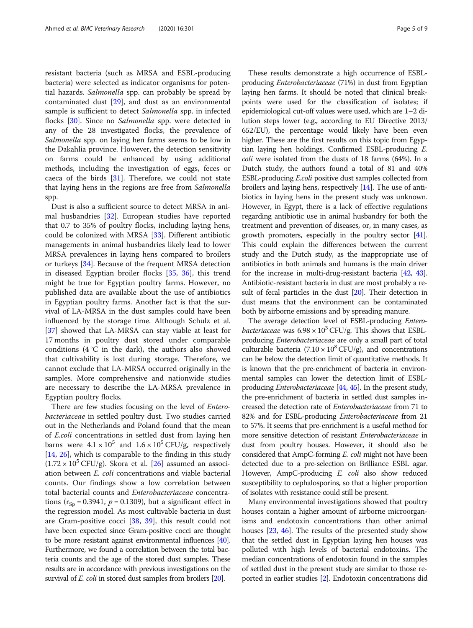resistant bacteria (such as MRSA and ESBL-producing bacteria) were selected as indicator organisms for potential hazards. Salmonella spp. can probably be spread by contaminated dust [\[29](#page-8-0)], and dust as an environmental sample is sufficient to detect Salmonella spp. in infected flocks [[30\]](#page-8-0). Since no Salmonella spp. were detected in any of the 28 investigated flocks, the prevalence of Salmonella spp. on laying hen farms seems to be low in the Dakahlia province. However, the detection sensitivity on farms could be enhanced by using additional methods, including the investigation of eggs, feces or caeca of the birds  $[31]$  $[31]$ . Therefore, we could not state that laying hens in the regions are free from Salmonella spp.

Dust is also a sufficient source to detect MRSA in animal husbandries [\[32\]](#page-8-0). European studies have reported that 0.7 to 35% of poultry flocks, including laying hens, could be colonized with MRSA [\[33](#page-8-0)]. Different antibiotic managements in animal husbandries likely lead to lower MRSA prevalences in laying hens compared to broilers or turkeys [\[34](#page-8-0)]. Because of the frequent MRSA detection in diseased Egyptian broiler flocks [\[35,](#page-8-0) [36\]](#page-8-0), this trend might be true for Egyptian poultry farms. However, no published data are available about the use of antibiotics in Egyptian poultry farms. Another fact is that the survival of LA-MRSA in the dust samples could have been influenced by the storage time. Although Schulz et al. [[37\]](#page-8-0) showed that LA-MRSA can stay viable at least for 17 months in poultry dust stored under comparable conditions  $(4^{\circ}C$  in the dark), the authors also showed that cultivability is lost during storage. Therefore, we cannot exclude that LA-MRSA occurred originally in the samples. More comprehensive and nationwide studies are necessary to describe the LA-MRSA prevalence in Egyptian poultry flocks.

There are few studies focusing on the level of Enterobacteriaceae in settled poultry dust. Two studies carried out in the Netherlands and Poland found that the mean of E.coli concentrations in settled dust from laying hen barns were  $4.1 \times 10^5$  and  $1.6 \times 10^5$  CFU/g, respectively [[14,](#page-8-0) [26\]](#page-8-0), which is comparable to the finding in this study  $(1.72 \times 10^5 \text{ CFU/g})$ . Skora et al. [\[26\]](#page-8-0) assumed an association between E. coli concentrations and viable bacterial counts. Our findings show a low correlation between total bacterial counts and Enterobacteriaceae concentrations ( $r_{Sp} = 0.3941$ ,  $p = 0.1309$ ), but a significant effect in the regression model. As most cultivable bacteria in dust are Gram-positive cocci [[38,](#page-8-0) [39](#page-8-0)], this result could not have been expected since Gram-positive cocci are thought to be more resistant against environmental influences [\[40](#page-8-0)]. Furthermore, we found a correlation between the total bacteria counts and the age of the stored dust samples. These results are in accordance with previous investigations on the survival of *E. coli* in stored dust samples from broilers [\[20\]](#page-8-0).

These results demonstrate a high occurrence of ESBLproducing Enterobacteriaceae (71%) in dust from Egyptian laying hen farms. It should be noted that clinical breakpoints were used for the classification of isolates; if epidemiological cut-off values were used, which are 1–2 dilution steps lower (e.g., according to EU Directive 2013/ 652/EU), the percentage would likely have been even higher. These are the first results on this topic from Egyptian laying hen holdings. Confirmed ESBL-producing E. coli were isolated from the dusts of 18 farms (64%). In a Dutch study, the authors found a total of 81 and 40% ESBL-producing E.coli positive dust samples collected from broilers and laying hens, respectively [[14](#page-8-0)]. The use of antibiotics in laying hens in the present study was unknown. However, in Egypt, there is a lack of effective regulations regarding antibiotic use in animal husbandry for both the treatment and prevention of diseases, or, in many cases, as growth promoters, especially in the poultry sector [[41](#page-8-0)]. This could explain the differences between the current study and the Dutch study, as the inappropriate use of antibiotics in both animals and humans is the main driver for the increase in multi-drug-resistant bacteria [[42](#page-8-0), [43](#page-8-0)]. Antibiotic-resistant bacteria in dust are most probably a re-sult of fecal particles in the dust [[20](#page-8-0)]. Their detection in dust means that the environment can be contaminated both by airborne emissions and by spreading manure.

The average detection level of ESBL-producing Entero*bacteriaceae* was  $6.98 \times 10^3$  CFU/g. This shows that ESBLproducing Enterobacteriaceae are only a small part of total culturable bacteria  $(7.10 \times 10^8 \text{ CFU/g})$ , and concentrations can be below the detection limit of quantitative methods. It is known that the pre-enrichment of bacteria in environmental samples can lower the detection limit of ESBLproducing *Enterobacteriaceae* [[44](#page-8-0), [45](#page-8-0)]. In the present study, the pre-enrichment of bacteria in settled dust samples increased the detection rate of Enterobacteriaceae from 71 to 82% and for ESBL-producing Enterobacteriaceae from 21 to 57%. It seems that pre-enrichment is a useful method for more sensitive detection of resistant Enterobacteriaceae in dust from poultry houses. However, it should also be considered that AmpC-forming E. coli might not have been detected due to a pre-selection on Brilliance ESBL agar. However, AmpC-producing E. coli also show reduced susceptibility to cephalosporins, so that a higher proportion of isolates with resistance could still be present.

Many environmental investigations showed that poultry houses contain a higher amount of airborne microorganisms and endotoxin concentrations than other animal houses [[23](#page-8-0), [46\]](#page-8-0). The results of the presented study show that the settled dust in Egyptian laying hen houses was polluted with high levels of bacterial endotoxins. The median concentrations of endotoxin found in the samples of settled dust in the present study are similar to those reported in earlier studies [\[2](#page-7-0)]. Endotoxin concentrations did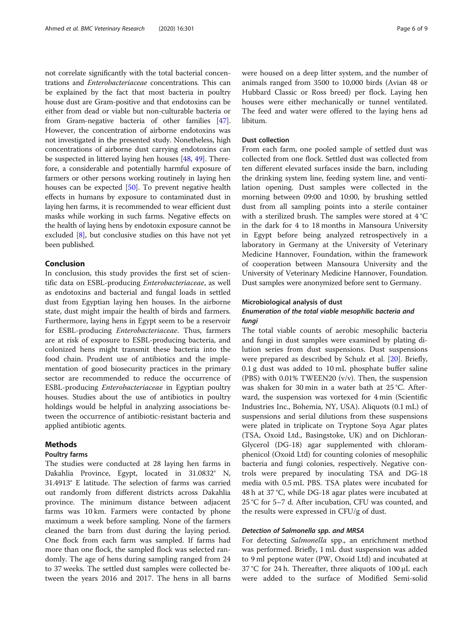not correlate significantly with the total bacterial concentrations and Enterobacteriaceae concentrations. This can be explained by the fact that most bacteria in poultry house dust are Gram-positive and that endotoxins can be either from dead or viable but non-culturable bacteria or from Gram-negative bacteria of other families [[47](#page-8-0)]. However, the concentration of airborne endotoxins was not investigated in the presented study. Nonetheless, high concentrations of airborne dust carrying endotoxins can be suspected in littered laying hen houses [[48](#page-8-0), [49\]](#page-8-0). Therefore, a considerable and potentially harmful exposure of farmers or other persons working routinely in laying hen houses can be expected [\[50\]](#page-8-0). To prevent negative health effects in humans by exposure to contaminated dust in laying hen farms, it is recommended to wear efficient dust masks while working in such farms. Negative effects on the health of laying hens by endotoxin exposure cannot be excluded [\[8\]](#page-7-0), but conclusive studies on this have not yet been published.

# Conclusion

In conclusion, this study provides the first set of scientific data on ESBL-producing Enterobacteriaceae, as well as endotoxins and bacterial and fungal loads in settled dust from Egyptian laying hen houses. In the airborne state, dust might impair the health of birds and farmers. Furthermore, laying hens in Egypt seem to be a reservoir for ESBL-producing Enterobacteriaceae. Thus, farmers are at risk of exposure to ESBL-producing bacteria, and colonized hens might transmit these bacteria into the food chain. Prudent use of antibiotics and the implementation of good biosecurity practices in the primary sector are recommended to reduce the occurrence of ESBL-producing Enterobacteriaceae in Egyptian poultry houses. Studies about the use of antibiotics in poultry holdings would be helpful in analyzing associations between the occurrence of antibiotic-resistant bacteria and applied antibiotic agents.

# Methods

# Poultry farms

The studies were conducted at 28 laying hen farms in Dakahlia Province, Egypt, located in 31.0832° N, 31.4913° E latitude. The selection of farms was carried out randomly from different districts across Dakahlia province. The minimum distance between adjacent farms was 10 km. Farmers were contacted by phone maximum a week before sampling. None of the farmers cleaned the barn from dust during the laying period. One flock from each farm was sampled. If farms had more than one flock, the sampled flock was selected randomly. The age of hens during sampling ranged from 24 to 37 weeks. The settled dust samples were collected between the years 2016 and 2017. The hens in all barns were housed on a deep litter system, and the number of animals ranged from 3500 to 10,000 birds (Avian 48 or Hubbard Classic or Ross breed) per flock. Laying hen houses were either mechanically or tunnel ventilated. The feed and water were offered to the laying hens ad libitum.

## Dust collection

From each farm, one pooled sample of settled dust was collected from one flock. Settled dust was collected from ten different elevated surfaces inside the barn, including the drinking system line, feeding system line, and ventilation opening. Dust samples were collected in the morning between 09:00 and 10:00, by brushing settled dust from all sampling points into a sterile container with a sterilized brush. The samples were stored at 4 °C in the dark for 4 to 18 months in Mansoura University in Egypt before being analyzed retrospectively in a laboratory in Germany at the University of Veterinary Medicine Hannover, Foundation, within the framework of cooperation between Mansoura University and the University of Veterinary Medicine Hannover, Foundation. Dust samples were anonymized before sent to Germany.

#### Microbiological analysis of dust

# Enumeration of the total viable mesophilic bacteria and fungi

The total viable counts of aerobic mesophilic bacteria and fungi in dust samples were examined by plating dilution series from dust suspensions. Dust suspensions were prepared as described by Schulz et al. [[20](#page-8-0)]. Briefly, 0.1 g dust was added to 10 mL phosphate buffer saline (PBS) with  $0.01\%$  TWEEN20 (v/v). Then, the suspension was shaken for 30 min in a water bath at 25 °C. Afterward, the suspension was vortexed for 4 min (Scientific Industries Inc., Bohemia, NY, USA). Aliquots (0.1 mL) of suspensions and serial dilutions from these suspensions were plated in triplicate on Tryptone Soya Agar plates (TSA, Oxoid Ltd., Basingstoke, UK) and on Dichloran-Glycerol (DG-18) agar supplemented with chloramphenicol (Oxoid Ltd) for counting colonies of mesophilic bacteria and fungi colonies, respectively. Negative controls were prepared by inoculating TSA and DG-18 media with 0.5 mL PBS. TSA plates were incubated for 48 h at 37 °C, while DG-18 agar plates were incubated at 25 °C for 5–7 d. After incubation, CFU was counted, and the results were expressed in CFU/g of dust.

# Detection of Salmonella spp. and MRSA

For detecting Salmonella spp., an enrichment method was performed. Briefly, 1 mL dust suspension was added to 9 ml peptone water (PW, Oxoid Ltd) and incubated at 37 °C for 24 h. Thereafter, three aliquots of 100 μL each were added to the surface of Modified Semi-solid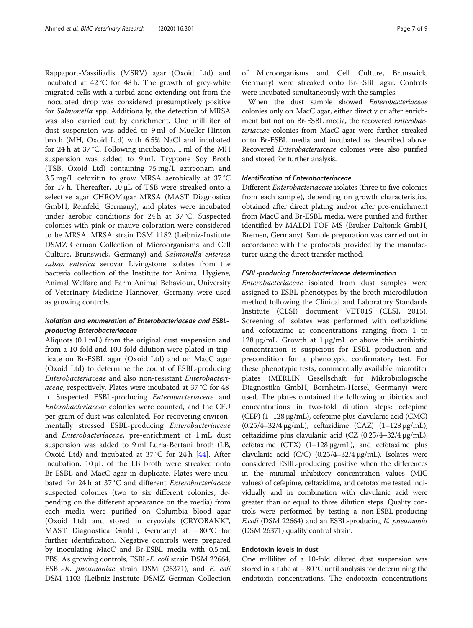Rappaport-Vassiliadis (MSRV) agar (Oxoid Ltd) and incubated at  $42^{\circ}$ C for  $48$  h. The growth of grey-white migrated cells with a turbid zone extending out from the inoculated drop was considered presumptively positive for Salmonella spp. Additionally, the detection of MRSA was also carried out by enrichment. One milliliter of dust suspension was added to 9 ml of Mueller-Hinton broth (MH, Oxoid Ltd) with 6.5% NaCl and incubated for 24 h at 37 °C. Following incubation, 1 ml of the MH suspension was added to 9 mL Tryptone Soy Broth (TSB, Oxoid Ltd) containing 75 mg/L aztreonam and 3.5 mg/L cefoxitin to grow MRSA aerobically at 37 °C for 17 h. Thereafter, 10 μL of TSB were streaked onto a selective agar CHROMagar MRSA (MAST Diagnostica GmbH, Reinfeld, Germany), and plates were incubated under aerobic conditions for 24 h at 37 °C. Suspected colonies with pink or mauve coloration were considered to be MRSA. MRSA strain DSM 1182 (Leibniz-Institute DSMZ German Collection of Microorganisms and Cell Culture, Brunswick, Germany) and Salmonella enterica subsp. enterica serovar Livingstone isolates from the bacteria collection of the Institute for Animal Hygiene, Animal Welfare and Farm Animal Behaviour, University of Veterinary Medicine Hannover, Germany were used as growing controls.

# Isolation and enumeration of Enterobacteriaceae and ESBLproducing Enterobacteriaceae

Aliquots (0.1 mL) from the original dust suspension and from a 10-fold and 100-fold dilution were plated in triplicate on Br-ESBL agar (Oxoid Ltd) and on MacC agar (Oxoid Ltd) to determine the count of ESBL-producing Enterobacteriaceae and also non-resistant Enterobacteriaceae, respectively. Plates were incubated at 37 °C for 48 h. Suspected ESBL-producing Enterobacteriaceae and Enterobacteriaceae colonies were counted, and the CFU per gram of dust was calculated. For recovering environmentally stressed ESBL-producing Enterobacteriaceae and Enterobacteriaceae, pre-enrichment of 1 mL dust suspension was added to 9 ml Luria-Bertani broth (LB, Oxoid Ltd) and incubated at 37 °C for 24 h [[44\]](#page-8-0). After incubation, 10 μL of the LB broth were streaked onto Br-ESBL and MacC agar in duplicate. Plates were incubated for 24 h at 37 °C and different Enterobacteriaceae suspected colonies (two to six different colonies, depending on the different appearance on the media) from each media were purified on Columbia blood agar (Oxoid Ltd) and stored in cryovials (CRYOBANK™, MAST Diagnostica GmbH, Germany) at − 80 °C for further identification. Negative controls were prepared by inoculating MacC and Br-ESBL media with 0.5 mL PBS. As growing controls, ESBL-E. coli strain DSM 22664, ESBL-K. pneumoniae strain DSM (26371), and E. coli DSM 1103 (Leibniz-Institute DSMZ German Collection of Microorganisms and Cell Culture, Brunswick, Germany) were streaked onto Br-ESBL agar. Controls were incubated simultaneously with the samples.

When the dust sample showed Enterobacteriaceae colonies only on MacC agar, either directly or after enrichment but not on Br-ESBL media, the recovered Enterobacteriaceae colonies from MacC agar were further streaked onto Br-ESBL media and incubated as described above. Recovered Enterobacteriaceae colonies were also purified and stored for further analysis.

# Identification of Enterobacteriaceae

Different Enterobacteriaceae isolates (three to five colonies from each sample), depending on growth characteristics, obtained after direct plating and/or after pre-enrichment from MacC and Br-ESBL media, were purified and further identified by MALDI-TOF MS (Bruker Daltonik GmbH, Bremen, Germany). Sample preparation was carried out in accordance with the protocols provided by the manufacturer using the direct transfer method.

#### ESBL-producing Enterobacteriaceae determination

Enterobacteriaceae isolated from dust samples were assigned to ESBL phenotypes by the broth microdilution method following the Clinical and Laboratory Standards Institute (CLSI) document VET01S (CLSI, 2015). Screening of isolates was performed with ceftazidime and cefotaxime at concentrations ranging from 1 to 128 μg/mL. Growth at  $1 \mu$ g/mL or above this antibiotic concentration is suspicious for ESBL production and precondition for a phenotypic confirmatory test. For these phenotypic tests, commercially available microtiter plates (MERLIN Gesellschaft für Mikrobiologische Diagnostika GmbH, Bornheim-Hersel, Germany) were used. The plates contained the following antibiotics and concentrations in two-fold dilution steps: cefepime (CEP) (1–128 μg/mL), cefepime plus clavulanic acid (CMC) (0.25/4–32/4 μg/mL), ceftazidime (CAZ) (1–128 μg/mL), ceftazidime plus clavulanic acid (CZ (0.25/4–32/4 μg/mL), cefotaxime (CTX)  $(1-128 \mu g/mL)$ , and cefotaxime plus clavulanic acid (C/C) (0.25/4–32/4 μg/mL). Isolates were considered ESBL-producing positive when the differences in the minimal inhibitory concentration values (MIC values) of cefepime, ceftazidime, and cefotaxime tested individually and in combination with clavulanic acid were greater than or equal to three dilution steps. Quality controls were performed by testing a non-ESBL-producing E.coli (DSM 22664) and an ESBL-producing K. pneumonia (DSM 26371) quality control strain.

# Endotoxin levels in dust

One milliliter of a 10-fold diluted dust suspension was stored in a tube at − 80 °C until analysis for determining the endotoxin concentrations. The endotoxin concentrations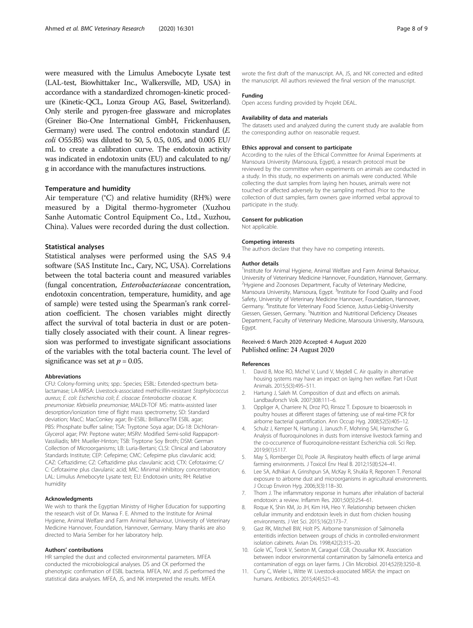<span id="page-7-0"></span>were measured with the Limulus Amebocyte Lysate test (LAL-test, Biowhittaker Inc., Walkersville, MD, USA) in accordance with a standardized chromogen-kinetic procedure (Kinetic-QCL, Lonza Group AG, Basel, Switzerland). Only sterile and pyrogen-free glassware and microplates (Greiner Bio-One International GmbH, Frickenhausen, Germany) were used. The control endotoxin standard (E. coli O55:B5) was diluted to 50, 5, 0.5, 0.05, and 0.005 EU/ mL to create a calibration curve. The endotoxin activity was indicated in endotoxin units (EU) and calculated to ng/ g in accordance with the manufactures instructions.

#### Temperature and humidity

Air temperature (°C) and relative humidity (RH%) were measured by a Digital thermo-hygrometer (Xuzhou Sanhe Automatic Control Equipment Co., Ltd., Xuzhou, China). Values were recorded during the dust collection.

#### Statistical analyses

Statistical analyses were performed using the SAS 9.4 software (SAS Institute Inc., Cary, NC, USA). Correlations between the total bacteria count and measured variables (fungal concentration, Enterobacteriaceae concentration, endotoxin concentration, temperature, humidity, and age of sample) were tested using the Spearman's rank correlation coefficient. The chosen variables might directly affect the survival of total bacteria in dust or are potentially closely associated with their count. A linear regression was performed to investigate significant associations of the variables with the total bacteria count. The level of significance was set at  $p = 0.05$ .

#### Abbreviations

CFU: Colony-forming units; spp.: Species; ESBL: Extended-spectrum betalactamase; LA-MRSA: Livestock-associated methicillin-resistant Staphylococcus aureus; E. coli: Escherichia coli; E. cloacae: Enterobacter cloacae; K. pneumoniae: Klebsiella pneumoniae; MALDI-TOF MS: matrix-assisted laser desorption/ionization time of flight mass spectrometry; SD: Standard deviation; MacC: MacConkey agar; Br-ESBL: BrillianceTM ESBL agar; PBS: Phosphate buffer saline; TSA: Tryptone Soya agar; DG-18: Dichloran-Glycerol agar; PW: Peptone water; MSRV: Modified Semi-solid Rappaport-Vassiliadis; MH: Mueller-Hinton; TSB: Tryptone Soy Broth; DSM: German Collection of Microorganisms; LB: Luria-Bertani; CLSI: Clinical and Laboratory Standards Institute; CEP: Cefepime; CMC: Cefepime plus clavulanic acid; CAZ: Ceftazidime; CZ: Ceftazidime plus clavulanic acid; CTX: Cefotaxime; C/ C: Cefotaxime plus clavulanic acid; MIC: Minimal inhibitory concentration; LAL: Limulus Amebocyte Lysate test; EU: Endotoxin units; RH: Relative humidity

#### Acknowledgments

We wish to thank the Egyptian Ministry of Higher Education for supporting the research visit of Dr. Marwa F. E. Ahmed to the Institute for Animal Hygiene, Animal Welfare and Farm Animal Behaviour, University of Veterinary Medicine Hannover, Foundation, Hannover, Germany. Many thanks are also directed to Maria Sember for her laboratory help.

#### Authors' contributions

HR sampled the dust and collected environmental parameters. MFEA conducted the microbiological analyses. DS and CK performed the phenotypic confirmation of ESBL bacteria. MFEA, NV, and JS performed the statistical data analyses. MFEA, JS, and NK interpreted the results. MFEA

wrote the first draft of the manuscript. AA, JS, and NK corrected and edited the manuscript. All authors reviewed the final version of the manuscript.

# Funding

Open access funding provided by Projekt DEAL.

#### Availability of data and materials

The datasets used and analyzed during the current study are available from the corresponding author on reasonable request.

#### Ethics approval and consent to participate

According to the rules of the Ethical Committee for Animal Experiments at Mansoura University (Mansoura, Egypt), a research protocol must be reviewed by the committee when experiments on animals are conducted in a study. In this study, no experiments on animals were conducted. While collecting the dust samples from laying hen houses, animals were not touched or affected adversely by the sampling method. Prior to the collection of dust samples, farm owners gave informed verbal approval to participate in the study.

#### Consent for publication

Not applicable.

#### Competing interests

The authors declare that they have no competing interests.

#### Author details

<sup>1</sup>Institute for Animal Hygiene, Animal Welfare and Farm Animal Behaviour University of Veterinary Medicine Hannover, Foundation, Hannover, Germany. <sup>2</sup>Hygiene and Zoonoses Department, Faculty of Veterinary Medicine Mansoura University, Mansoura, Egypt. <sup>3</sup>Institute for Food Quality and Food Safety, University of Veterinary Medicine Hannover, Foundation, Hannover, Germany. <sup>4</sup>Institute for Veterinary Food Science, Justus-Liebig-University Giessen, Giessen, Germany. <sup>5</sup>Nutrition and Nutritional Deficiency Diseases Department, Faculty of Veterinary Medicine, Mansoura University, Mansoura, Egypt.

#### Received: 6 March 2020 Accepted: 4 August 2020 Published online: 24 August 2020

#### References

- 1. David B, Moe RO, Michel V, Lund V, Mejdell C. Air quality in alternative housing systems may have an impact on laying hen welfare. Part I-Dust Animals. 2015;5(3):495–511.
- 2. Hartung J, Saleh M. Composition of dust and effects on animals. Landbauforsch Volk. 2007;308:111–6.
- 3. Oppliger A, Charriere N, Droz PO, Rinsoz T. Exposure to bioaerosols in poultry houses at different stages of fattening; use of real-time PCR for airborne bacterial quantification. Ann Occup Hyg. 2008;52(5):405–12.
- 4. Schulz J, Kemper N, Hartung J, Janusch F, Mohring SAI, Hamscher G. Analysis of fluoroquinolones in dusts from intensive livestock farming and the co-occurrence of fluoroquinolone-resistant Escherichia coli. Sci Rep. 2019;9(1):5117.
- 5. May S, Romberger DJ, Poole JA. Respiratory health effects of large animal farming environments. J Toxicol Env Heal B. 2012;15(8):524–41.
- Lee SA, Adhikari A, Grinshpun SA, McKay R, Shukla R, Reponen T. Personal exposure to airborne dust and microorganisms in agricultural environments. J Occup Environ Hyg. 2006;3(3):118–30.
- 7. Thorn J. The inflammatory response in humans after inhalation of bacterial endotoxin: a review. Inflamm Res. 2001;50(5):254–61.
- 8. Roque K, Shin KM, Jo JH, Kim HA, Heo Y. Relationship between chicken cellular immunity and endotoxin levels in dust from chicken housing environments. J Vet Sci. 2015;16(2):173–7.
- 9. Gast RK, Mitchell BW, Holt PS. Airborne transmission of Salmonella enteritidis infection between groups of chicks in controlled-environment isolation cabinets. Avian Dis. 1998;42(2):315–20.
- 10. Gole VC, Torok V, Sexton M, Caraguel CGB, Chousalkar KK. Association between indoor environmental contamination by Salmonella enterica and contamination of eggs on layer farms. J Clin Microbiol. 2014;52(9):3250–8.
- 11. Cuny C, Wieler L, Witte W. Livestock-associated MRSA: the impact on humans. Antibiotics. 2015;4(4):521–43.